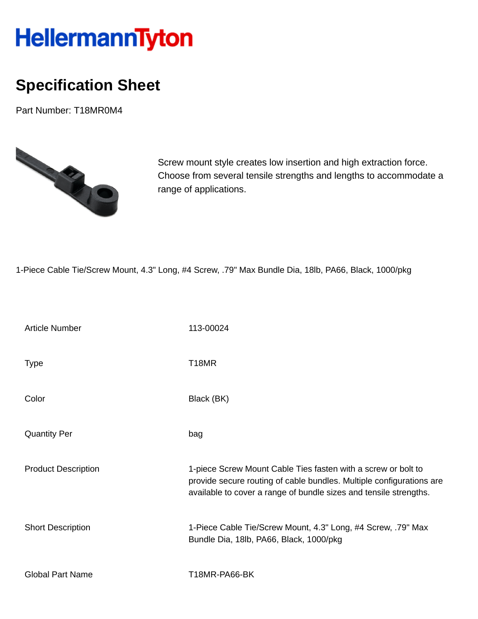## HellermannTyton

## **Specification Sheet**

Part Number: T18MR0M4



Screw mount style creates low insertion and high extraction force. Choose from several tensile strengths and lengths to accommodate a range of applications.

1-Piece Cable Tie/Screw Mount, 4.3" Long, #4 Screw, .79" Max Bundle Dia, 18lb, PA66, Black, 1000/pkg

| <b>Article Number</b>      | 113-00024                                                                                                                                                                                                  |
|----------------------------|------------------------------------------------------------------------------------------------------------------------------------------------------------------------------------------------------------|
| <b>Type</b>                | T <sub>18</sub> MR                                                                                                                                                                                         |
| Color                      | Black (BK)                                                                                                                                                                                                 |
| <b>Quantity Per</b>        | bag                                                                                                                                                                                                        |
| <b>Product Description</b> | 1-piece Screw Mount Cable Ties fasten with a screw or bolt to<br>provide secure routing of cable bundles. Multiple configurations are<br>available to cover a range of bundle sizes and tensile strengths. |
| <b>Short Description</b>   | 1-Piece Cable Tie/Screw Mount, 4.3" Long, #4 Screw, .79" Max<br>Bundle Dia, 18lb, PA66, Black, 1000/pkg                                                                                                    |
| <b>Global Part Name</b>    | T18MR-PA66-BK                                                                                                                                                                                              |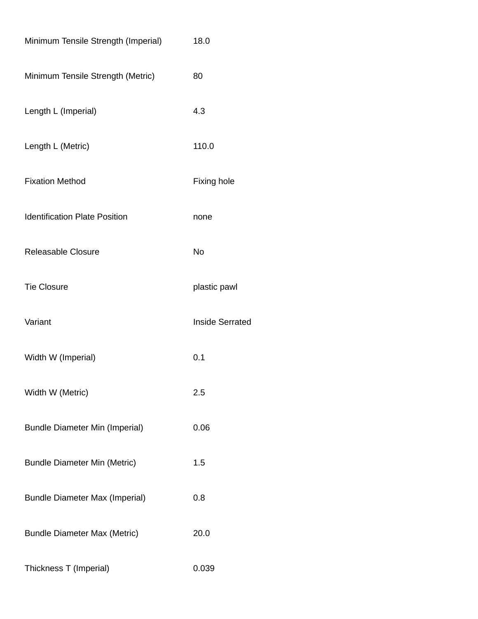| Minimum Tensile Strength (Imperial)   | 18.0                   |
|---------------------------------------|------------------------|
| Minimum Tensile Strength (Metric)     | 80                     |
| Length L (Imperial)                   | 4.3                    |
| Length L (Metric)                     | 110.0                  |
| <b>Fixation Method</b>                | <b>Fixing hole</b>     |
| <b>Identification Plate Position</b>  | none                   |
| <b>Releasable Closure</b>             | <b>No</b>              |
| <b>Tie Closure</b>                    | plastic pawl           |
| Variant                               | <b>Inside Serrated</b> |
| Width W (Imperial)                    | 0.1                    |
| Width W (Metric)                      | 2.5                    |
| <b>Bundle Diameter Min (Imperial)</b> | 0.06                   |
| <b>Bundle Diameter Min (Metric)</b>   | 1.5                    |
| <b>Bundle Diameter Max (Imperial)</b> | 0.8                    |
| <b>Bundle Diameter Max (Metric)</b>   | 20.0                   |
| Thickness T (Imperial)                | 0.039                  |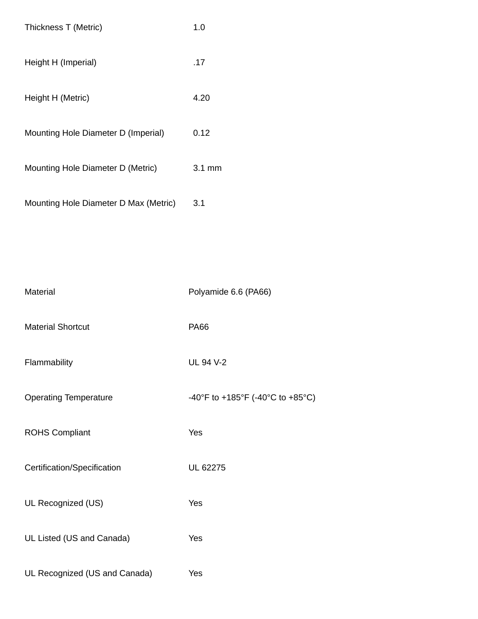| Thickness T (Metric)                  | 1.0    |
|---------------------------------------|--------|
| Height H (Imperial)                   | .17    |
| Height H (Metric)                     | 4.20   |
| Mounting Hole Diameter D (Imperial)   | 0.12   |
| Mounting Hole Diameter D (Metric)     | 3.1 mm |
| Mounting Hole Diameter D Max (Metric) | 3.1    |

| Material                      | Polyamide 6.6 (PA66)             |
|-------------------------------|----------------------------------|
| <b>Material Shortcut</b>      | <b>PA66</b>                      |
| Flammability                  | <b>UL 94 V-2</b>                 |
| <b>Operating Temperature</b>  | -40°F to +185°F (-40°C to +85°C) |
| <b>ROHS Compliant</b>         | Yes                              |
| Certification/Specification   | UL 62275                         |
| UL Recognized (US)            | Yes                              |
| UL Listed (US and Canada)     | Yes                              |
| UL Recognized (US and Canada) | Yes                              |